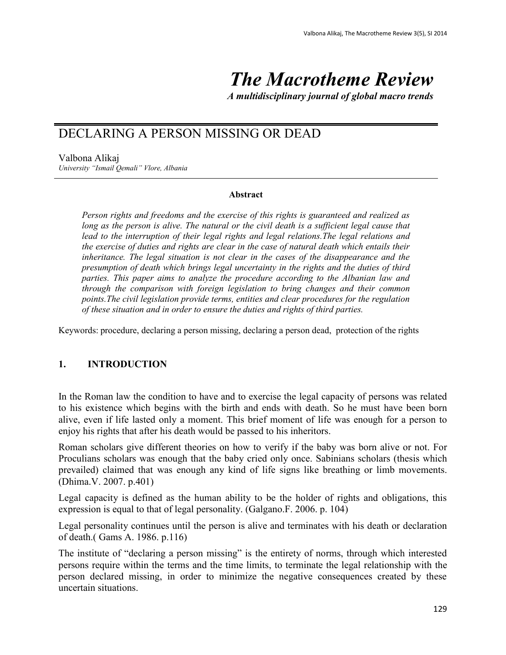# *The Macrotheme Review*

*A multidisciplinary journal of global macro trends*

## DECLARING A PERSON MISSING OR DEAD

Valbona Alikaj *University "Ismail Qemali" Vlore, Albania*

#### **Abstract**

*Person rights and freedoms and the exercise of this rights is guaranteed and realized as long as the person is alive. The natural or the civil death is a sufficient legal cause that lead to the interruption of their legal rights and legal relations.The legal relations and the exercise of duties and rights are clear in the case of natural death which entails their inheritance. The legal situation is not clear in the cases of the disappearance and the presumption of death which brings legal uncertainty in the rights and the duties of third parties. This paper aims to analyze the procedure according to the Albanian law and through the comparison with foreign legislation to bring changes and their common points.The civil legislation provide terms, entities and clear procedures for the regulation of these situation and in order to ensure the duties and rights of third parties.*

Keywords: procedure, declaring a person missing, declaring a person dead, protection of the rights

#### **1. INTRODUCTION**

In the Roman law the condition to have and to exercise the legal capacity of persons was related to his existence which begins with the birth and ends with death. So he must have been born alive, even if life lasted only a moment. This brief moment of life was enough for a person to enjoy his rights that after his death would be passed to his inheritors.

Roman scholars give different theories on how to verify if the baby was born alive or not. For Proculians scholars was enough that the baby cried only once. Sabinians scholars (thesis which prevailed) claimed that was enough any kind of life signs like breathing or limb movements. (Dhima.V. 2007. p.401)

Legal capacity is defined as the human ability to be the holder of rights and obligations, this expression is equal to that of legal personality. (Galgano.F. 2006. p. 104)

Legal personality continues until the person is alive and terminates with his death or declaration of death.( Gams A. 1986. p.116)

The institute of "declaring a person missing" is the entirety of norms, through which interested persons require within the terms and the time limits, to terminate the legal relationship with the person declared missing, in order to minimize the negative consequences created by these uncertain situations.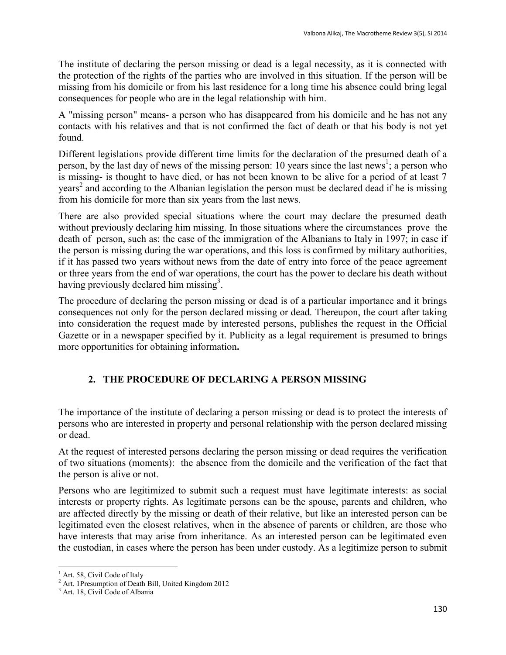The institute of declaring the person missing or dead is a legal necessity, as it is connected with the protection of the rights of the parties who are involved in this situation. If the person will be missing from his domicile or from his last residence for a long time his absence could bring legal consequences for people who are in the legal relationship with him.

A "missing person" means- a person who has disappeared from his domicile and he has not any contacts with his relatives and that is not confirmed the fact of death or that his body is not yet found.

Different legislations provide different time limits for the declaration of the presumed death of a person, by the last day of news of the missing person: 10 years since the last news<sup>1</sup>; a person who is missing- is thought to have died, or has not been known to be alive for a period of at least 7 years<sup>2</sup> and according to the Albanian legislation the person must be declared dead if he is missing from his domicile for more than six years from the last news.

There are also provided special situations where the court may declare the presumed death without previously declaring him missing. In those situations where the circumstances prove the death of person, such as: the case of the immigration of the Albanians to Italy in 1997; in case if the person is missing during the war operations, and this loss is confirmed by military authorities, if it has passed two years without news from the date of entry into force of the peace agreement or three years from the end of war operations, the court has the power to declare his death without having previously declared him missing<sup>3</sup>.

The procedure of declaring the person missing or dead is of a particular importance and it brings consequences not only for the person declared missing or dead. Thereupon, the court after taking into consideration the request made by interested persons, publishes the request in the Official Gazette or in a newspaper specified by it. Publicity as a legal requirement is presumed to brings more opportunities for obtaining information**.**

## **2. THE PROCEDURE OF DECLARING A PERSON MISSING**

The importance of the institute of declaring a person missing or dead is to protect the interests of persons who are interested in property and personal relationship with the person declared missing or dead.

At the request of interested persons declaring the person missing or dead requires the verification of two situations (moments): the absence from the domicile and the verification of the fact that the person is alive or not.

Persons who are legitimized to submit such a request must have legitimate interests: as social interests or property rights. As legitimate persons can be the spouse, parents and children, who are affected directly by the missing or death of their relative, but like an interested person can be legitimated even the closest relatives, when in the absence of parents or children, are those who have interests that may arise from inheritance. As an interested person can be legitimated even the custodian, in cases where the person has been under custody. As a legitimize person to submit

 $\overline{a}$ 

Art. 58, Civil Code of Italy

<sup>&</sup>lt;sup>2</sup> Art. 1Presumption of Death Bill, United Kingdom 2012

<sup>&</sup>lt;sup>3</sup> Art. 18, Civil Code of Albania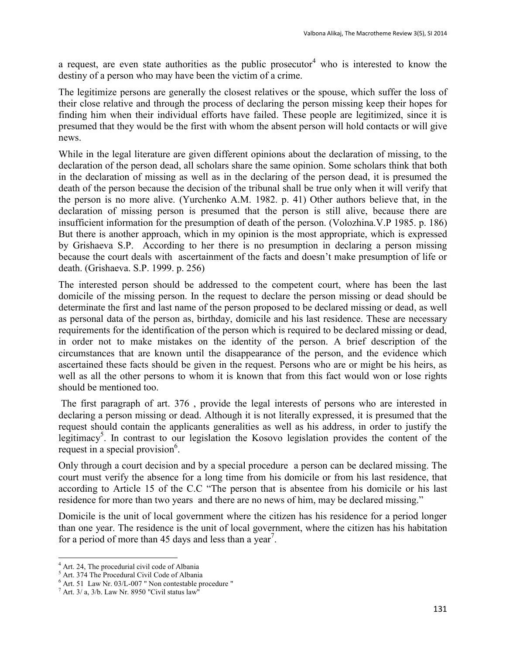a request, are even state authorities as the public prosecutor<sup>4</sup> who is interested to know the destiny of a person who may have been the victim of a crime.

The legitimize persons are generally the closest relatives or the spouse, which suffer the loss of their close relative and through the process of declaring the person missing keep their hopes for finding him when their individual efforts have failed. These people are legitimized, since it is presumed that they would be the first with whom the absent person will hold contacts or will give news.

While in the legal literature are given different opinions about the declaration of missing, to the declaration of the person dead, all scholars share the same opinion. Some scholars think that both in the declaration of missing as well as in the declaring of the person dead, it is presumed the death of the person because the decision of the tribunal shall be true only when it will verify that the person is no more alive. (Yurchenko A.M. 1982. p. 41) Other authors believe that, in the declaration of missing person is presumed that the person is still alive, because there are insufficient information for the presumption of death of the person. (Volozhina.V.P 1985. p. 186) But there is another approach, which in my opinion is the most appropriate, which is expressed by Grishaeva S.P. According to her there is no presumption in declaring a person missing because the court deals with ascertainment of the facts and doesn't make presumption of life or death. (Grishaeva. S.P. 1999. p. 256)

The interested person should be addressed to the competent court, where has been the last domicile of the missing person. In the request to declare the person missing or dead should be determinate the first and last name of the person proposed to be declared missing or dead, as well as personal data of the person as, birthday, domicile and his last residence. These are necessary requirements for the identification of the person which is required to be declared missing or dead, in order not to make mistakes on the identity of the person. A brief description of the circumstances that are known until the disappearance of the person, and the evidence which ascertained these facts should be given in the request. Persons who are or might be his heirs, as well as all the other persons to whom it is known that from this fact would won or lose rights should be mentioned too.

The first paragraph of art. 376 , provide the legal interests of persons who are interested in declaring a person missing or dead. Although it is not literally expressed, it is presumed that the request should contain the applicants generalities as well as his address, in order to justify the legitimacy<sup>5</sup>. In contrast to our legislation the Kosovo legislation provides the content of the request in a special provision<sup>6</sup>.

Only through a court decision and by a special procedure a person can be declared missing. The court must verify the absence for a long time from his domicile or from his last residence, that according to Article 15 of the C.C "The person that is absentee from his domicile or his last residence for more than two years and there are no news of him, may be declared missing."

Domicile is the unit of local government where the citizen has his residence for a period longer than one year. The residence is the unit of local government, where the citizen has his habitation for a period of more than 45 days and less than a year<sup>7</sup>.

 $\ddot{\phantom{a}}$ 

<sup>&</sup>lt;sup>4</sup> Art. 24, The procedurial civil code of Albania

<sup>5</sup> Art. 374 The Procedural Civil Code of Albania

 $6$  Art. 51 Law Nr. 03/L-007 " Non contestable procedure "

 $^7$  Art. 3/ a, 3/b. Law Nr. 8950 "Civil status law"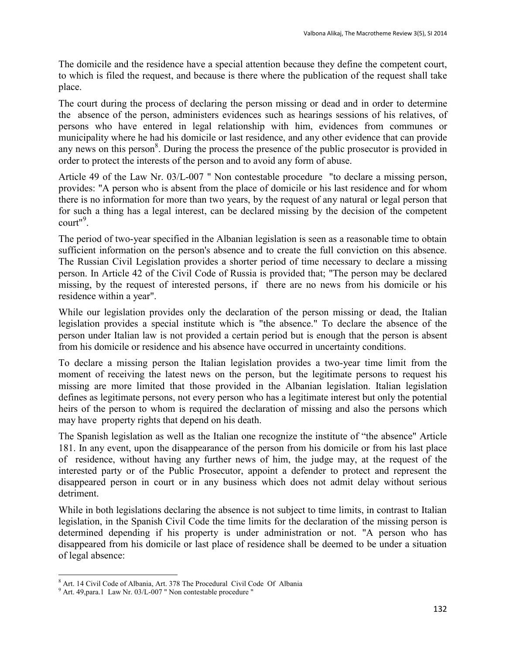The domicile and the residence have a special attention because they define the competent court, to which is filed the request, and because is there where the publication of the request shall take place.

The court during the process of declaring the person missing or dead and in order to determine the absence of the person, administers evidences such as hearings sessions of his relatives, of persons who have entered in legal relationship with him, evidences from communes or municipality where he had his domicile or last residence, and any other evidence that can provide any news on this person<sup>8</sup>. During the process the presence of the public prosecutor is provided in order to protect the interests of the person and to avoid any form of abuse.

Article 49 of the Law Nr. 03/L-007 " Non contestable procedure "to declare a missing person, provides: "A person who is absent from the place of domicile or his last residence and for whom there is no information for more than two years, by the request of any natural or legal person that for such a thing has a legal interest, can be declared missing by the decision of the competent court"<sup>9</sup>.

The period of two-year specified in the Albanian legislation is seen as a reasonable time to obtain sufficient information on the person's absence and to create the full conviction on this absence. The Russian Civil Legislation provides a shorter period of time necessary to declare a missing person. In Article 42 of the Civil Code of Russia is provided that; "The person may be declared missing, by the request of interested persons, if there are no news from his domicile or his residence within a year".

While our legislation provides only the declaration of the person missing or dead, the Italian legislation provides a special institute which is "the absence." To declare the absence of the person under Italian law is not provided a certain period but is enough that the person is absent from his domicile or residence and his absence have occurred in uncertainty conditions.

To declare a missing person the Italian legislation provides a two-year time limit from the moment of receiving the latest news on the person, but the legitimate persons to request his missing are more limited that those provided in the Albanian legislation. Italian legislation defines as legitimate persons, not every person who has a legitimate interest but only the potential heirs of the person to whom is required the declaration of missing and also the persons which may have property rights that depend on his death.

The Spanish legislation as well as the Italian one recognize the institute of "the absence" Article 181. In any event, upon the disappearance of the person from his domicile or from his last place of residence, without having any further news of him, the judge may, at the request of the interested party or of the Public Prosecutor, appoint a defender to protect and represent the disappeared person in court or in any business which does not admit delay without serious detriment.

While in both legislations declaring the absence is not subject to time limits, in contrast to Italian legislation, in the Spanish Civil Code the time limits for the declaration of the missing person is determined depending if his property is under administration or not. "A person who has disappeared from his domicile or last place of residence shall be deemed to be under a situation of legal absence:

 $\ddot{\phantom{a}}$ <sup>8</sup> Art. 14 Civil Code of Albania, Art. 378 The Procedural Civil Code Of Albania

<sup>9</sup> Art. 49,para.1 Law Nr. 03/L-007 " Non contestable procedure "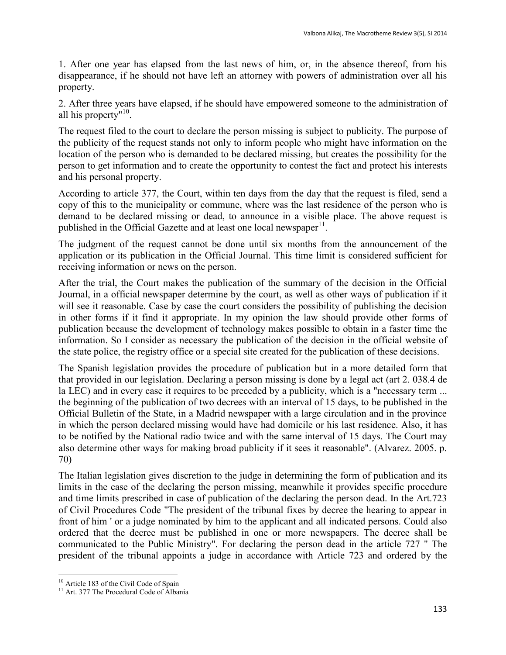1. After one year has elapsed from the last news of him, or, in the absence thereof, from his disappearance, if he should not have left an attorney with powers of administration over all his property.

2. After three years have elapsed, if he should have empowered someone to the administration of all his property"<sup>10</sup>.

The request filed to the court to declare the person missing is subject to publicity. The purpose of the publicity of the request stands not only to inform people who might have information on the location of the person who is demanded to be declared missing, but creates the possibility for the person to get information and to create the opportunity to contest the fact and protect his interests and his personal property.

According to article 377, the Court, within ten days from the day that the request is filed, send a copy of this to the municipality or commune, where was the last residence of the person who is demand to be declared missing or dead, to announce in a visible place. The above request is published in the Official Gazette and at least one local newspaper $11$ .

The judgment of the request cannot be done until six months from the announcement of the application or its publication in the Official Journal. This time limit is considered sufficient for receiving information or news on the person.

After the trial, the Court makes the publication of the summary of the decision in the Official Journal, in a official newspaper determine by the court, as well as other ways of publication if it will see it reasonable. Case by case the court considers the possibility of publishing the decision in other forms if it find it appropriate. In my opinion the law should provide other forms of publication because the development of technology makes possible to obtain in a faster time the information. So I consider as necessary the publication of the decision in the official website of the state police, the registry office or a special site created for the publication of these decisions.

The Spanish legislation provides the procedure of publication but in a more detailed form that that provided in our legislation. Declaring a person missing is done by a legal act (art 2. 038.4 de la LEC) and in every case it requires to be preceded by a publicity, which is a "necessary term ... the beginning of the publication of two decrees with an interval of 15 days, to be published in the Official Bulletin of the State, in a Madrid newspaper with a large circulation and in the province in which the person declared missing would have had domicile or his last residence. Also, it has to be notified by the National radio twice and with the same interval of 15 days. The Court may also determine other ways for making broad publicity if it sees it reasonable". (Alvarez. 2005. p. 70)

The Italian legislation gives discretion to the judge in determining the form of publication and its limits in the case of the declaring the person missing, meanwhile it provides specific procedure and time limits prescribed in case of publication of the declaring the person dead. In the Art.723 of Civil Procedures Code "The president of the tribunal fixes by decree the hearing to appear in front of him ' or a judge nominated by him to the applicant and all indicated persons. Could also ordered that the decree must be published in one or more newspapers. The decree shall be communicated to the Public Ministry". For declaring the person dead in the article 727 " The president of the tribunal appoints a judge in accordance with Article 723 and ordered by the

 $\ddot{\phantom{a}}$ <sup>10</sup> Article 183 of the Civil Code of Spain

<sup>&</sup>lt;sup>11</sup> Art. 377 The Procedural Code of Albania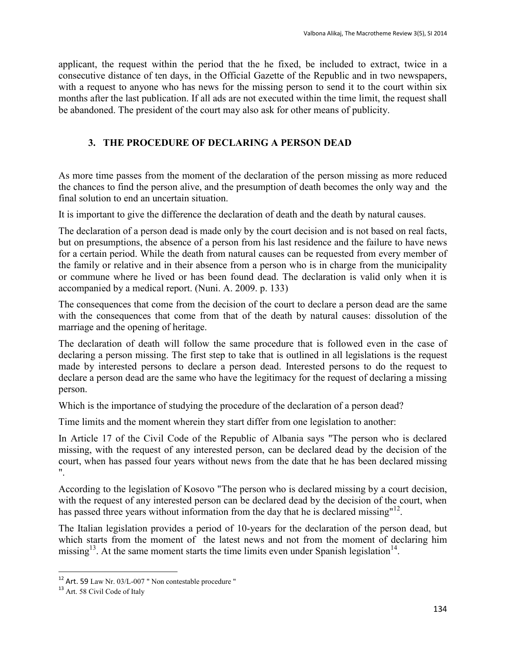applicant, the request within the period that the he fixed, be included to extract, twice in a consecutive distance of ten days, in the Official Gazette of the Republic and in two newspapers, with a request to anyone who has news for the missing person to send it to the court within six months after the last publication. If all ads are not executed within the time limit, the request shall be abandoned. The president of the court may also ask for other means of publicity.

## **3. THE PROCEDURE OF DECLARING A PERSON DEAD**

As more time passes from the moment of the declaration of the person missing as more reduced the chances to find the person alive, and the presumption of death becomes the only way and the final solution to end an uncertain situation.

It is important to give the difference the declaration of death and the death by natural causes.

The declaration of a person dead is made only by the court decision and is not based on real facts, but on presumptions, the absence of a person from his last residence and the failure to have news for a certain period. While the death from natural causes can be requested from every member of the family or relative and in their absence from a person who is in charge from the municipality or commune where he lived or has been found dead. The declaration is valid only when it is accompanied by a medical report. (Nuni. A. 2009. p. 133)

The consequences that come from the decision of the court to declare a person dead are the same with the consequences that come from that of the death by natural causes: dissolution of the marriage and the opening of heritage.

The declaration of death will follow the same procedure that is followed even in the case of declaring a person missing. The first step to take that is outlined in all legislations is the request made by interested persons to declare a person dead. Interested persons to do the request to declare a person dead are the same who have the legitimacy for the request of declaring a missing person.

Which is the importance of studying the procedure of the declaration of a person dead?

Time limits and the moment wherein they start differ from one legislation to another:

In Article 17 of the Civil Code of the Republic of Albania says "The person who is declared missing, with the request of any interested person, can be declared dead by the decision of the court, when has passed four years without news from the date that he has been declared missing ".

According to the legislation of Kosovo "The person who is declared missing by a court decision, with the request of any interested person can be declared dead by the decision of the court, when has passed three years without information from the day that he is declared missing"<sup>12</sup>.

The Italian legislation provides a period of 10-years for the declaration of the person dead, but which starts from the moment of the latest news and not from the moment of declaring him missing<sup>13</sup>. At the same moment starts the time limits even under Spanish legislation<sup>14</sup>.

 $\ddot{\phantom{a}}$ 

 $12$  Art. 59 Law Nr. 03/L-007 " Non contestable procedure "

<sup>13</sup> Art. 58 Civil Code of Italy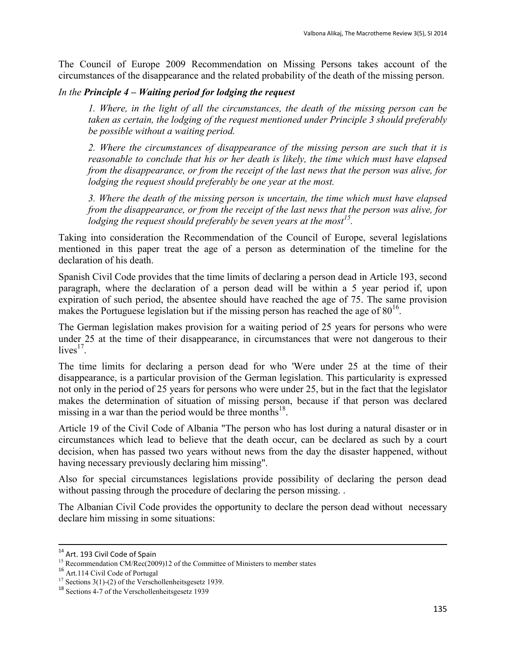The Council of Europe 2009 Recommendation on Missing Persons takes account of the circumstances of the disappearance and the related probability of the death of the missing person.

### *In the Principle 4 – Waiting period for lodging the request*

*1. Where, in the light of all the circumstances, the death of the missing person can be taken as certain, the lodging of the request mentioned under Principle 3 should preferably be possible without a waiting period.*

*2. Where the circumstances of disappearance of the missing person are such that it is reasonable to conclude that his or her death is likely, the time which must have elapsed from the disappearance, or from the receipt of the last news that the person was alive, for lodging the request should preferably be one year at the most.*

*3. Where the death of the missing person is uncertain, the time which must have elapsed from the disappearance, or from the receipt of the last news that the person was alive, for lodging the request should preferably be seven years at the most<sup>15</sup> .*

Taking into consideration the Recommendation of the Council of Europe, several legislations mentioned in this paper treat the age of a person as determination of the timeline for the declaration of his death.

Spanish Civil Code provides that the time limits of declaring a person dead in Article 193, second paragraph, where the declaration of a person dead will be within a 5 year period if, upon expiration of such period, the absentee should have reached the age of 75. The same provision makes the Portuguese legislation but if the missing person has reached the age of  $80^{16}$ .

The German legislation makes provision for a waiting period of 25 years for persons who were under 25 at the time of their disappearance, in circumstances that were not dangerous to their  $lives<sup>17</sup>$ .

The time limits for declaring a person dead for who 'Were under 25 at the time of their disappearance, is a particular provision of the German legislation. This particularity is expressed not only in the period of 25 years for persons who were under 25, but in the fact that the legislator makes the determination of situation of missing person, because if that person was declared missing in a war than the period would be three months $^{18}$ .

Article 19 of the Civil Code of Albania "The person who has lost during a natural disaster or in circumstances which lead to believe that the death occur, can be declared as such by a court decision, when has passed two years without news from the day the disaster happened, without having necessary previously declaring him missing".

Also for special circumstances legislations provide possibility of declaring the person dead without passing through the procedure of declaring the person missing.

The Albanian Civil Code provides the opportunity to declare the person dead without necessary declare him missing in some situations:

 $\overline{a}$ 

<sup>&</sup>lt;sup>14</sup> Art. 193 Civil Code of Spain

<sup>&</sup>lt;sup>15</sup> Recommendation CM/Rec(2009)12 of the Committee of Ministers to member states

<sup>16</sup> Art.114 Civil Code of Portugal

 $17$  Sections 3(1)-(2) of the Verschollenheitsgesetz 1939.

<sup>18</sup> Sections 4-7 of the Verschollenheitsgesetz 1939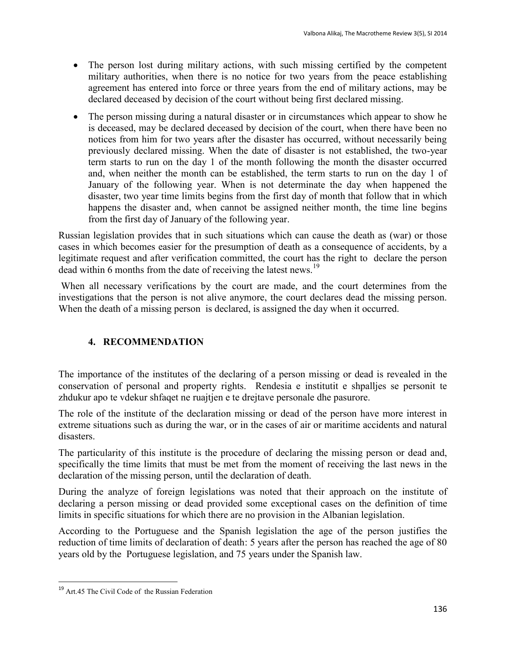- The person lost during military actions, with such missing certified by the competent military authorities, when there is no notice for two years from the peace establishing agreement has entered into force or three years from the end of military actions, may be declared deceased by decision of the court without being first declared missing.
- The person missing during a natural disaster or in circumstances which appear to show he is deceased, may be declared deceased by decision of the court, when there have been no notices from him for two years after the disaster has occurred, without necessarily being previously declared missing. When the date of disaster is not established, the two-year term starts to run on the day 1 of the month following the month the disaster occurred and, when neither the month can be established, the term starts to run on the day 1 of January of the following year. When is not determinate the day when happened the disaster, two year time limits begins from the first day of month that follow that in which happens the disaster and, when cannot be assigned neither month, the time line begins from the first day of January of the following year.

Russian legislation provides that in such situations which can cause the death as (war) or those cases in which becomes easier for the presumption of death as a consequence of accidents, by a legitimate request and after verification committed, the court has the right to declare the person dead within 6 months from the date of receiving the latest news.<sup>19</sup>

When all necessary verifications by the court are made, and the court determines from the investigations that the person is not alive anymore, the court declares dead the missing person. When the death of a missing person is declared, is assigned the day when it occurred.

## **4. RECOMMENDATION**

The importance of the institutes of the declaring of a person missing or dead is revealed in the conservation of personal and property rights. Rendesia e institutit e shpalljes se personit te zhdukur apo te vdekur shfaqet ne ruajtjen e te drejtave personale dhe pasurore.

The role of the institute of the declaration missing or dead of the person have more interest in extreme situations such as during the war, or in the cases of air or maritime accidents and natural disasters.

The particularity of this institute is the procedure of declaring the missing person or dead and, specifically the time limits that must be met from the moment of receiving the last news in the declaration of the missing person, until the declaration of death.

During the analyze of foreign legislations was noted that their approach on the institute of declaring a person missing or dead provided some exceptional cases on the definition of time limits in specific situations for which there are no provision in the Albanian legislation.

According to the Portuguese and the Spanish legislation the age of the person justifies the reduction of time limits of declaration of death: 5 years after the person has reached the age of 80 years old by the Portuguese legislation, and 75 years under the Spanish law.

 $\overline{a}$ 

<sup>&</sup>lt;sup>19</sup> Art.45 The Civil Code of the Russian Federation